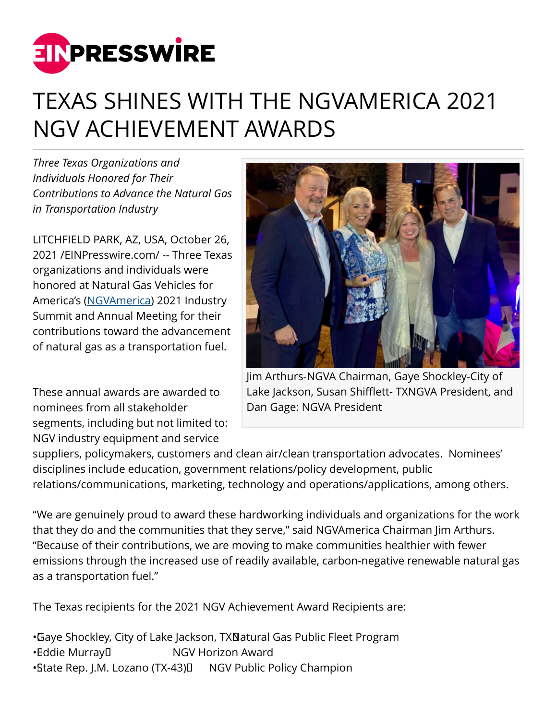

## TEXAS SHINES WITH THE NGVAMERICA 2021 NGV ACHIEVEMENT AWARDS

*Three Texas Organizations and Individuals Honored for Their Contributions to Advance the Natural Gas in Transportation Industry*

LITCHFIELD PARK, AZ, USA, October 26, 2021 /[EINPresswire.com](http://www.einpresswire.com)/ -- Three Texas organizations and individuals were honored at Natural Gas Vehicles for America's ([NGVAmerica\)](http://www.ngvamerica.org) 2021 Industry Summit and Annual Meeting for their contributions toward the advancement of natural gas as a transportation fuel.

These annual awards are awarded to nominees from all stakeholder segments, including but not limited to: NGV industry equipment and service



Jim Arthurs-NGVA Chairman, Gaye Shockley-City of Lake Jackson, Susan Shifflett- TXNGVA President, and Dan Gage: NGVA President

suppliers, policymakers, customers and clean air/clean transportation advocates. Nominees' disciplines include education, government relations/policy development, public relations/communications, marketing, technology and operations/applications, among others.

"We are genuinely proud to award these hardworking individuals and organizations for the work that they do and the communities that they serve," said NGVAmerica Chairman Jim Arthurs. "Because of their contributions, we are moving to make communities healthier with fewer emissions through the increased use of readily available, carbon-negative renewable natural gas as a transportation fuel."

The Texas recipients for the 2021 NGV Achievement Award Recipients are:

• Gaye Shockley, City of Lake Jackson, TX Natural Gas Public Fleet Program • Eddie Murray<sup>[1]</sup> NGV Horizon Award • State Rep. J.M. Lozano (TX-43) I NGV Public Policy Champion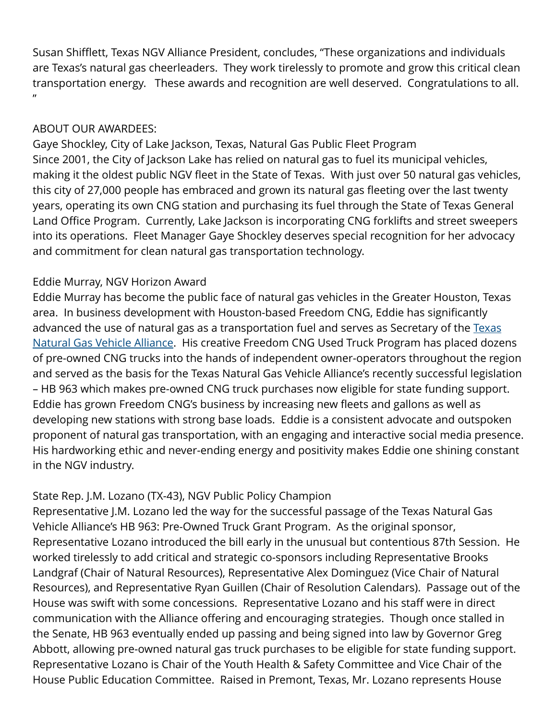Susan Shifflett, Texas NGV Alliance President, concludes, "These organizations and individuals are Texas's natural gas cheerleaders. They work tirelessly to promote and grow this critical clean transportation energy. These awards and recognition are well deserved. Congratulations to all. "

## ABOUT OUR AWARDEES:

Gaye Shockley, City of Lake Jackson, Texas, Natural Gas Public Fleet Program Since 2001, the City of Jackson Lake has relied on natural gas to fuel its municipal vehicles, making it the oldest public NGV fleet in the State of Texas. With just over 50 natural gas vehicles, this city of 27,000 people has embraced and grown its natural gas fleeting over the last twenty years, operating its own CNG station and purchasing its fuel through the State of Texas General Land Office Program. Currently, Lake Jackson is incorporating CNG forklifts and street sweepers into its operations. Fleet Manager Gaye Shockley deserves special recognition for her advocacy and commitment for clean natural gas transportation technology.

## Eddie Murray, NGV Horizon Award

Eddie Murray has become the public face of natural gas vehicles in the Greater Houston, Texas area. In business development with Houston-based Freedom CNG, Eddie has significantly advanced the use of natural gas as a transportation fuel and serves as Secretary of the [Texas](http://www.texasngvalliance.com) [Natural Gas Vehicle Alliance.](http://www.texasngvalliance.com) His creative Freedom CNG Used Truck Program has placed dozens of pre-owned CNG trucks into the hands of independent owner-operators throughout the region and served as the basis for the Texas Natural Gas Vehicle Alliance's recently successful legislation – HB 963 which makes pre-owned CNG truck purchases now eligible for state funding support. Eddie has grown Freedom CNG's business by increasing new fleets and gallons as well as developing new stations with strong base loads. Eddie is a consistent advocate and outspoken proponent of natural gas transportation, with an engaging and interactive social media presence. His hardworking ethic and never-ending energy and positivity makes Eddie one shining constant in the NGV industry.

## State Rep. J.M. Lozano (TX-43), NGV Public Policy Champion

Representative J.M. Lozano led the way for the successful passage of the Texas Natural Gas Vehicle Alliance's HB 963: Pre-Owned Truck Grant Program. As the original sponsor, Representative Lozano introduced the bill early in the unusual but contentious 87th Session. He worked tirelessly to add critical and strategic co-sponsors including Representative Brooks Landgraf (Chair of Natural Resources), Representative Alex Dominguez (Vice Chair of Natural Resources), and Representative Ryan Guillen (Chair of Resolution Calendars). Passage out of the House was swift with some concessions. Representative Lozano and his staff were in direct communication with the Alliance offering and encouraging strategies. Though once stalled in the Senate, HB 963 eventually ended up passing and being signed into law by Governor Greg Abbott, allowing pre-owned natural gas truck purchases to be eligible for state funding support. Representative Lozano is Chair of the Youth Health & Safety Committee and Vice Chair of the House Public Education Committee. Raised in Premont, Texas, Mr. Lozano represents House